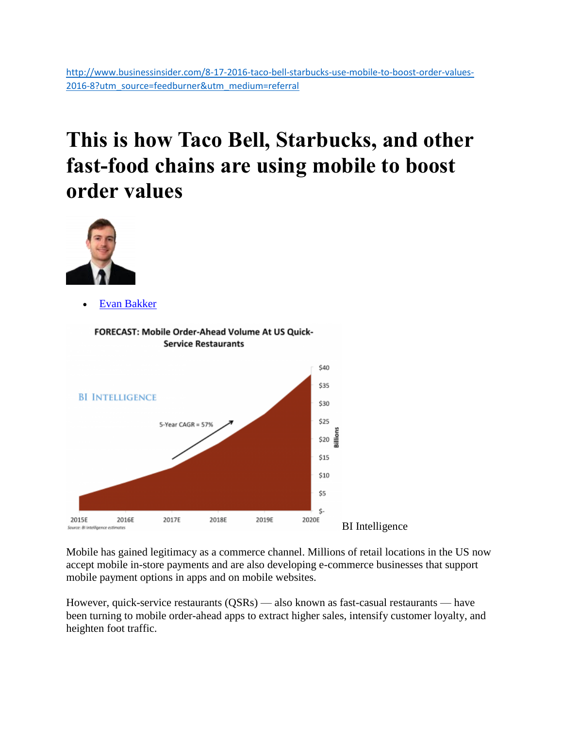## **This is how Taco Bell, Starbucks, and other fast-food chains are using mobile to boost order values**



[Evan Bakker](http://www.businessinsider.com/author/evan-bakker)



Mobile has gained legitimacy as a commerce channel. Millions of retail locations in the US now accept mobile in-store payments and are also developing e-commerce businesses that support mobile payment options in apps and on mobile websites.

However, quick-service restaurants (QSRs) — also known as fast-casual restaurants — have been turning to mobile order-ahead apps to extract higher sales, intensify customer loyalty, and heighten foot traffic.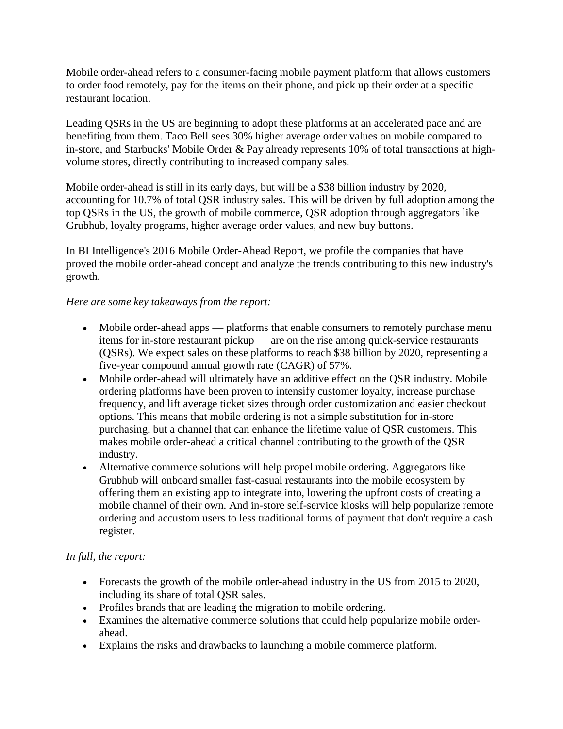Mobile order-ahead refers to a consumer-facing mobile payment platform that allows customers to order food remotely, pay for the items on their phone, and pick up their order at a specific restaurant location.

Leading QSRs in the US are beginning to adopt these platforms at an accelerated pace and are benefiting from them. Taco Bell sees 30% higher average order values on mobile compared to in-store, and Starbucks' Mobile Order & Pay already represents 10% of total transactions at highvolume stores, directly contributing to increased company sales.

Mobile order-ahead is still in its early days, but will be a \$38 billion industry by 2020, accounting for 10.7% of total QSR industry sales. This will be driven by full adoption among the top QSRs in the US, the growth of mobile commerce, QSR adoption through aggregators like Grubhub, loyalty programs, higher average order values, and new buy buttons.

In BI Intelligence's 2016 Mobile Order-Ahead Report, we profile the companies that have proved the mobile order-ahead concept and analyze the trends contributing to this new industry's growth.

## *Here are some key takeaways from the report:*

- Mobile order-ahead apps platforms that enable consumers to remotely purchase menu items for in-store restaurant pickup — are on the rise among quick-service restaurants (QSRs). We expect sales on these platforms to reach \$38 billion by 2020, representing a five-year compound annual growth rate (CAGR) of 57%.
- Mobile order-ahead will ultimately have an additive effect on the QSR industry. Mobile ordering platforms have been proven to intensify customer loyalty, increase purchase frequency, and lift average ticket sizes through order customization and easier checkout options. This means that mobile ordering is not a simple substitution for in-store purchasing, but a channel that can enhance the lifetime value of QSR customers. This makes mobile order-ahead a critical channel contributing to the growth of the QSR industry.
- Alternative commerce solutions will help propel mobile ordering. Aggregators like Grubhub will onboard smaller fast-casual restaurants into the mobile ecosystem by offering them an existing app to integrate into, lowering the upfront costs of creating a mobile channel of their own. And in-store self-service kiosks will help popularize remote ordering and accustom users to less traditional forms of payment that don't require a cash register.

## *In full, the report:*

- Forecasts the growth of the mobile order-ahead industry in the US from 2015 to 2020, including its share of total QSR sales.
- Profiles brands that are leading the migration to mobile ordering.
- Examines the alternative commerce solutions that could help popularize mobile orderahead.
- Explains the risks and drawbacks to launching a mobile commerce platform.